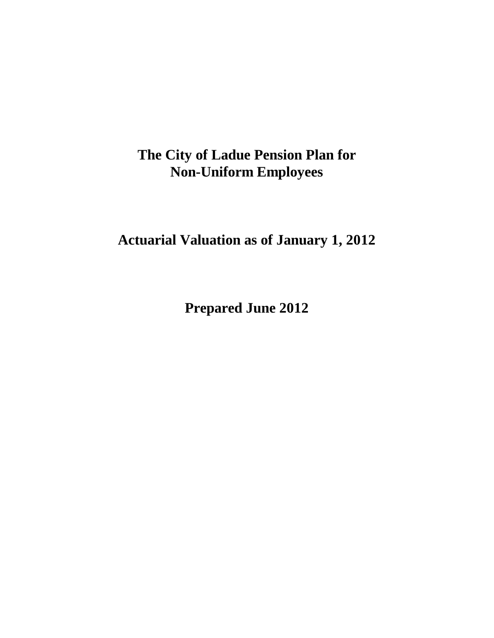**Actuarial Valuation as of January 1, 2012** 

**Prepared June 2012**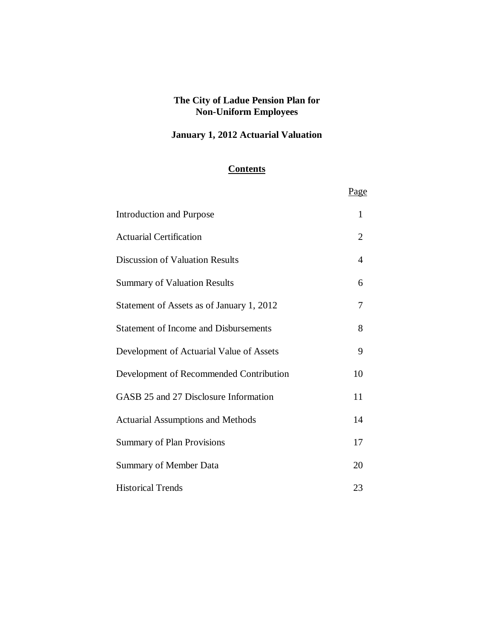## **January 1, 2012 Actuarial Valuation**

### **Contents**

|                                              | Page           |
|----------------------------------------------|----------------|
| <b>Introduction and Purpose</b>              | 1              |
| <b>Actuarial Certification</b>               | $\overline{2}$ |
| <b>Discussion of Valuation Results</b>       | 4              |
| <b>Summary of Valuation Results</b>          | 6              |
| Statement of Assets as of January 1, 2012    | 7              |
| <b>Statement of Income and Disbursements</b> | 8              |
| Development of Actuarial Value of Assets     | 9              |
| Development of Recommended Contribution      | 10             |
| GASB 25 and 27 Disclosure Information        | 11             |
| <b>Actuarial Assumptions and Methods</b>     | 14             |
| <b>Summary of Plan Provisions</b>            | 17             |
| <b>Summary of Member Data</b>                | 20             |
| <b>Historical Trends</b>                     | 23             |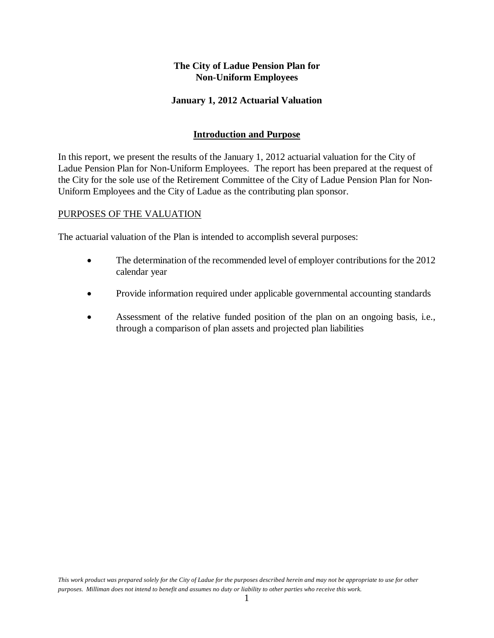#### **January 1, 2012 Actuarial Valuation**

#### **Introduction and Purpose**

In this report, we present the results of the January 1, 2012 actuarial valuation for the City of Ladue Pension Plan for Non-Uniform Employees. The report has been prepared at the request of the City for the sole use of the Retirement Committee of the City of Ladue Pension Plan for Non-Uniform Employees and the City of Ladue as the contributing plan sponsor.

#### PURPOSES OF THE VALUATION

The actuarial valuation of the Plan is intended to accomplish several purposes:

- The determination of the recommended level of employer contributions for the 2012 calendar year
- Provide information required under applicable governmental accounting standards
- Assessment of the relative funded position of the plan on an ongoing basis, i.e., through a comparison of plan assets and projected plan liabilities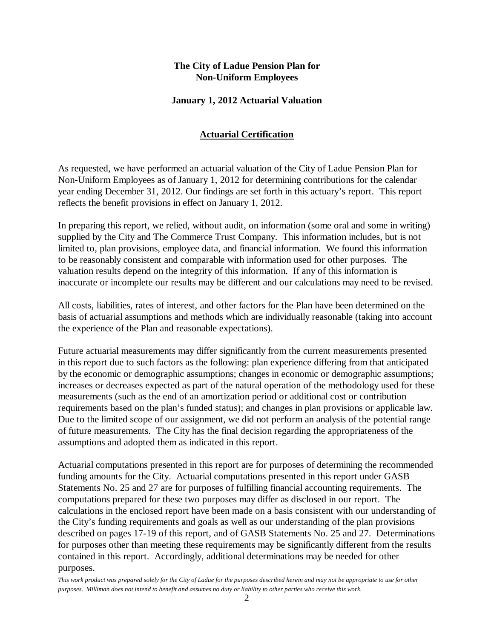#### **January 1, 2012 Actuarial Valuation**

### **Actuarial Certification**

As requested, we have performed an actuarial valuation of the City of Ladue Pension Plan for Non-Uniform Employees as of January 1, 2012 for determining contributions for the calendar year ending December 31, 2012. Our findings are set forth in this actuary's report. This report reflects the benefit provisions in effect on January 1, 2012.

In preparing this report, we relied, without audit, on information (some oral and some in writing) supplied by the City and The Commerce Trust Company. This information includes, but is not limited to, plan provisions, employee data, and financial information. We found this information to be reasonably consistent and comparable with information used for other purposes. The valuation results depend on the integrity of this information. If any of this information is inaccurate or incomplete our results may be different and our calculations may need to be revised.

All costs, liabilities, rates of interest, and other factors for the Plan have been determined on the basis of actuarial assumptions and methods which are individually reasonable (taking into account the experience of the Plan and reasonable expectations).

Future actuarial measurements may differ significantly from the current measurements presented in this report due to such factors as the following: plan experience differing from that anticipated by the economic or demographic assumptions; changes in economic or demographic assumptions; increases or decreases expected as part of the natural operation of the methodology used for these measurements (such as the end of an amortization period or additional cost or contribution requirements based on the plan's funded status); and changes in plan provisions or applicable law. Due to the limited scope of our assignment, we did not perform an analysis of the potential range of future measurements. The City has the final decision regarding the appropriateness of the assumptions and adopted them as indicated in this report.

Actuarial computations presented in this report are for purposes of determining the recommended funding amounts for the City. Actuarial computations presented in this report under GASB Statements No. 25 and 27 are for purposes of fulfilling financial accounting requirements. The computations prepared for these two purposes may differ as disclosed in our report. The calculations in the enclosed report have been made on a basis consistent with our understanding of the City's funding requirements and goals as well as our understanding of the plan provisions described on pages 17-19 of this report, and of GASB Statements No. 25 and 27. Determinations for purposes other than meeting these requirements may be significantly different from the results contained in this report. Accordingly, additional determinations may be needed for other purposes.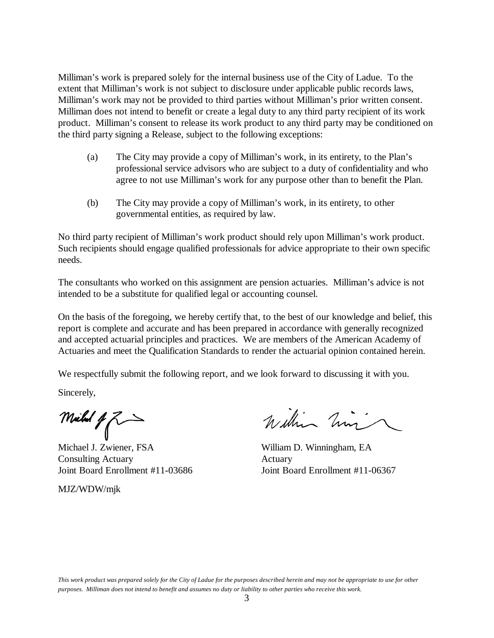Milliman's work is prepared solely for the internal business use of the City of Ladue. To the extent that Milliman's work is not subject to disclosure under applicable public records laws, Milliman's work may not be provided to third parties without Milliman's prior written consent. Milliman does not intend to benefit or create a legal duty to any third party recipient of its work product. Milliman's consent to release its work product to any third party may be conditioned on the third party signing a Release, subject to the following exceptions:

- (a) The City may provide a copy of Milliman's work, in its entirety, to the Plan's professional service advisors who are subject to a duty of confidentiality and who agree to not use Milliman's work for any purpose other than to benefit the Plan.
- (b) The City may provide a copy of Milliman's work, in its entirety, to other governmental entities, as required by law.

No third party recipient of Milliman's work product should rely upon Milliman's work product. Such recipients should engage qualified professionals for advice appropriate to their own specific needs.

The consultants who worked on this assignment are pension actuaries. Milliman's advice is not intended to be a substitute for qualified legal or accounting counsel.

On the basis of the foregoing, we hereby certify that, to the best of our knowledge and belief, this report is complete and accurate and has been prepared in accordance with generally recognized and accepted actuarial principles and practices. We are members of the American Academy of Actuaries and meet the Qualification Standards to render the actuarial opinion contained herein.

We respectfully submit the following report, and we look forward to discussing it with you.

Sincerely,

Michal  $47$ 

Michael J. Zwiener, FSA William D. Winningham, EA Consulting Actuary Actuary Joint Board Enrollment #11-03686 Joint Board Enrollment #11-06367

MJZ/WDW/mjk

William him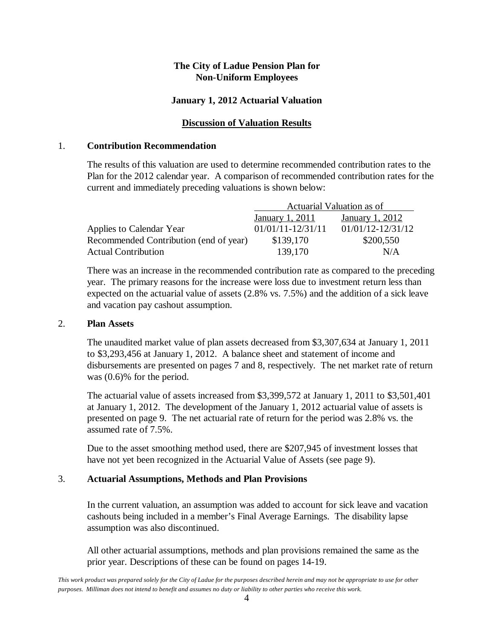#### **January 1, 2012 Actuarial Valuation**

#### **Discussion of Valuation Results**

#### 1. **Contribution Recommendation**

The results of this valuation are used to determine recommended contribution rates to the Plan for the 2012 calendar year. A comparison of recommended contribution rates for the current and immediately preceding valuations is shown below:

|                                        | Actuarial Valuation as of |                       |  |
|----------------------------------------|---------------------------|-----------------------|--|
|                                        | January 1, 2011           | January 1, 2012       |  |
| Applies to Calendar Year               | $01/01/11 - 12/31/11$     | $01/01/12 - 12/31/12$ |  |
| Recommended Contribution (end of year) | \$139,170                 | \$200,550             |  |
| <b>Actual Contribution</b>             | 139,170                   | N/A                   |  |

 There was an increase in the recommended contribution rate as compared to the preceding year. The primary reasons for the increase were loss due to investment return less than expected on the actuarial value of assets (2.8% vs. 7.5%) and the addition of a sick leave and vacation pay cashout assumption.

#### 2. **Plan Assets**

The unaudited market value of plan assets decreased from \$3,307,634 at January 1, 2011 to \$3,293,456 at January 1, 2012. A balance sheet and statement of income and disbursements are presented on pages 7 and 8, respectively. The net market rate of return was (0.6)% for the period.

The actuarial value of assets increased from \$3,399,572 at January 1, 2011 to \$3,501,401 at January 1, 2012. The development of the January 1, 2012 actuarial value of assets is presented on page 9. The net actuarial rate of return for the period was 2.8% vs. the assumed rate of 7.5%.

Due to the asset smoothing method used, there are \$207,945 of investment losses that have not yet been recognized in the Actuarial Value of Assets (see page 9).

#### 3. **Actuarial Assumptions, Methods and Plan Provisions**

In the current valuation, an assumption was added to account for sick leave and vacation cashouts being included in a member's Final Average Earnings. The disability lapse assumption was also discontinued.

All other actuarial assumptions, methods and plan provisions remained the same as the prior year. Descriptions of these can be found on pages 14-19.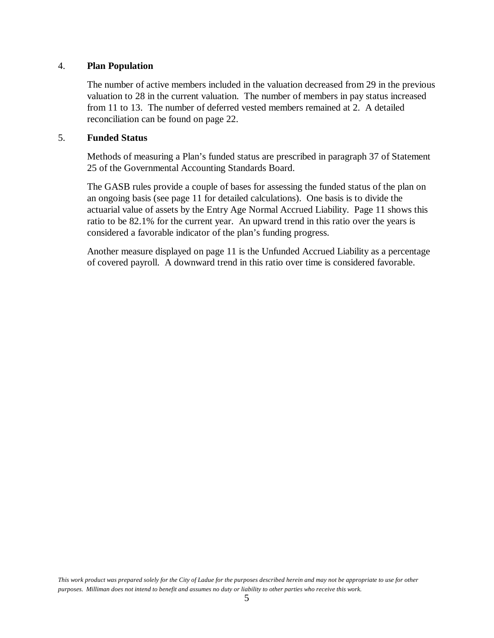#### 4. **Plan Population**

The number of active members included in the valuation decreased from 29 in the previous valuation to 28 in the current valuation. The number of members in pay status increased from 11 to 13. The number of deferred vested members remained at 2. A detailed reconciliation can be found on page 22.

#### 5. **Funded Status**

Methods of measuring a Plan's funded status are prescribed in paragraph 37 of Statement 25 of the Governmental Accounting Standards Board.

The GASB rules provide a couple of bases for assessing the funded status of the plan on an ongoing basis (see page 11 for detailed calculations). One basis is to divide the actuarial value of assets by the Entry Age Normal Accrued Liability. Page 11 shows this ratio to be 82.1% for the current year. An upward trend in this ratio over the years is considered a favorable indicator of the plan's funding progress.

Another measure displayed on page 11 is the Unfunded Accrued Liability as a percentage of covered payroll. A downward trend in this ratio over time is considered favorable.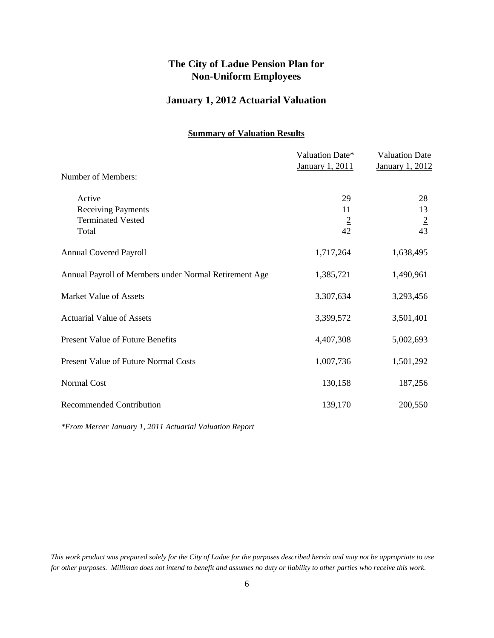### **January 1, 2012 Actuarial Valuation**

#### **Summary of Valuation Results**

|                                                       | Valuation Date*<br>January 1, 2011 | <b>Valuation Date</b><br><b>January 1, 2012</b> |
|-------------------------------------------------------|------------------------------------|-------------------------------------------------|
| Number of Members:                                    |                                    |                                                 |
| Active                                                | 29                                 | 28                                              |
| <b>Receiving Payments</b>                             | 11                                 | 13                                              |
| <b>Terminated Vested</b>                              | $\overline{2}$                     | $\overline{2}$                                  |
| Total                                                 | 42                                 | 43                                              |
| <b>Annual Covered Payroll</b>                         | 1,717,264                          | 1,638,495                                       |
| Annual Payroll of Members under Normal Retirement Age | 1,385,721                          | 1,490,961                                       |
| Market Value of Assets                                | 3,307,634                          | 3,293,456                                       |
| <b>Actuarial Value of Assets</b>                      | 3,399,572                          | 3,501,401                                       |
| <b>Present Value of Future Benefits</b>               | 4,407,308                          | 5,002,693                                       |
| <b>Present Value of Future Normal Costs</b>           | 1,007,736                          | 1,501,292                                       |
| Normal Cost                                           | 130,158                            | 187,256                                         |
| <b>Recommended Contribution</b>                       | 139,170                            | 200,550                                         |
|                                                       |                                    |                                                 |

*\*From Mercer January 1, 2011 Actuarial Valuation Report*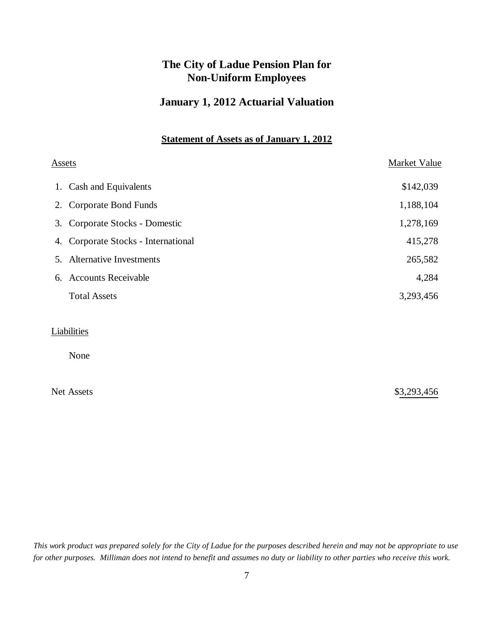### **January 1, 2012 Actuarial Valuation**

### **Statement of Assets as of January 1, 2012**

| <u>Assets</u> |                                     | Market Value |  |
|---------------|-------------------------------------|--------------|--|
|               | 1. Cash and Equivalents             | \$142,039    |  |
|               | 2. Corporate Bond Funds             | 1,188,104    |  |
|               | 3. Corporate Stocks - Domestic      | 1,278,169    |  |
|               | 4. Corporate Stocks - International | 415,278      |  |
|               | 5. Alternative Investments          | 265,582      |  |
|               | 6. Accounts Receivable              | 4,284        |  |
|               | <b>Total Assets</b>                 | 3,293,456    |  |
|               |                                     |              |  |
|               | Liabilities                         |              |  |
|               | None                                |              |  |
|               |                                     |              |  |

Net Assets \$3,293,456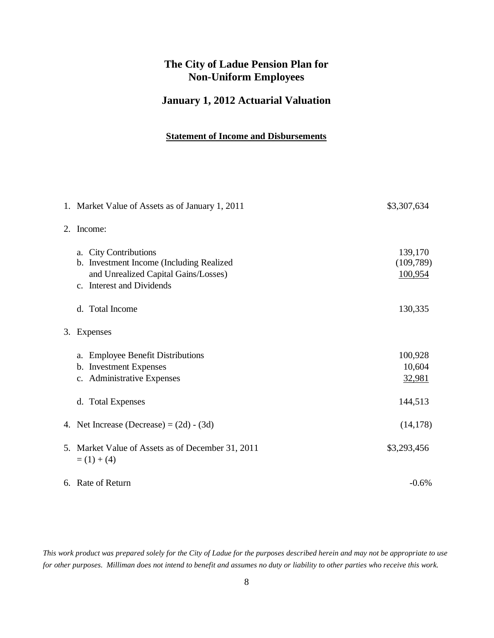## **January 1, 2012 Actuarial Valuation**

#### **Statement of Income and Disbursements**

|    | 1. Market Value of Assets as of January 1, 2011                                                                                        | \$3,307,634                     |
|----|----------------------------------------------------------------------------------------------------------------------------------------|---------------------------------|
| 2. | Income:                                                                                                                                |                                 |
|    | a. City Contributions<br>b. Investment Income (Including Realized<br>and Unrealized Capital Gains/Losses)<br>c. Interest and Dividends | 139,170<br>(109,789)<br>100,954 |
|    | d. Total Income                                                                                                                        | 130,335                         |
| 3. | Expenses                                                                                                                               |                                 |
|    | a. Employee Benefit Distributions<br>b. Investment Expenses<br>c. Administrative Expenses                                              | 100,928<br>10,604<br>32,981     |
|    | d. Total Expenses                                                                                                                      | 144,513                         |
|    | 4. Net Increase (Decrease) = $(2d) - (3d)$                                                                                             | (14, 178)                       |
|    | 5. Market Value of Assets as of December 31, 2011<br>$= (1) + (4)$                                                                     | \$3,293,456                     |
|    | 6. Rate of Return                                                                                                                      | $-0.6\%$                        |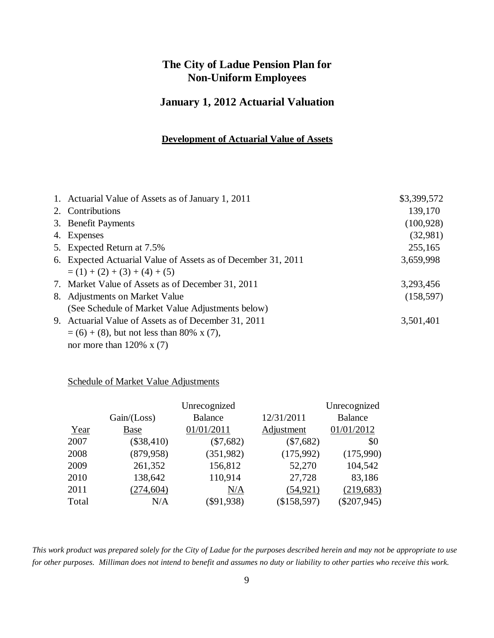### **January 1, 2012 Actuarial Valuation**

#### **Development of Actuarial Value of Assets**

| 1. Actuarial Value of Assets as of January 1, 2011            | \$3,399,572 |
|---------------------------------------------------------------|-------------|
| 2. Contributions                                              | 139,170     |
| 3. Benefit Payments                                           | (100, 928)  |
| 4. Expenses                                                   | (32,981)    |
| 5. Expected Return at 7.5%                                    | 255,165     |
| 6. Expected Actuarial Value of Assets as of December 31, 2011 | 3,659,998   |
| $= (1) + (2) + (3) + (4) + (5)$                               |             |
| 7. Market Value of Assets as of December 31, 2011             | 3,293,456   |
| 8. Adjustments on Market Value                                | (158, 597)  |
| (See Schedule of Market Value Adjustments below)              |             |
| 9. Actuarial Value of Assets as of December 31, 2011          | 3,501,401   |
| $= (6) + (8)$ , but not less than 80% x (7),                  |             |
| nor more than $120\% \times (7)$                              |             |

#### Schedule of Market Value Adjustments

| Unrecognized                                     | Unrecognized   |
|--------------------------------------------------|----------------|
| 12/31/2011<br><b>Balance</b><br>Gain / (Loss)    | <b>Balance</b> |
| 01/01/2011<br>Adjustment<br>Year<br><b>Base</b>  | 01/01/2012     |
| (\$38,410)<br>$(\$7,682)$<br>2007<br>$(\$7,682)$ | \$0            |
| (879, 958)<br>2008<br>(351,982)<br>(175,992)     | (175,990)      |
| 2009<br>156,812<br>261,352<br>52,270             | 104,542        |
| 110,914<br>2010<br>138,642<br>27,728             | 83,186         |
| (54, 921)<br>(274, 604)<br>2011<br>N/A           | (219, 683)     |
| (\$158,597)<br>$(\$91,938)$<br>Total<br>N/A      | $(\$207,945)$  |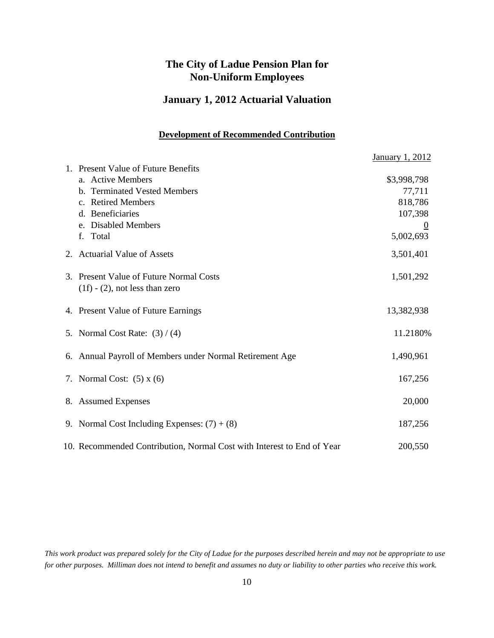### **January 1, 2012 Actuarial Valuation**

#### **Development of Recommended Contribution**

|                                                                        | <b>January 1, 2012</b> |
|------------------------------------------------------------------------|------------------------|
| 1. Present Value of Future Benefits                                    |                        |
| a. Active Members                                                      | \$3,998,798            |
| b. Terminated Vested Members                                           | 77,711                 |
| c. Retired Members                                                     | 818,786                |
| d. Beneficiaries                                                       | 107,398                |
| e. Disabled Members                                                    |                        |
| f. Total                                                               | 5,002,693              |
| 2. Actuarial Value of Assets                                           | 3,501,401              |
| 3. Present Value of Future Normal Costs                                | 1,501,292              |
| $(1f) - (2)$ , not less than zero                                      |                        |
| 4. Present Value of Future Earnings                                    | 13,382,938             |
| 5. Normal Cost Rate: $(3)/(4)$                                         | 11.2180%               |
| 6. Annual Payroll of Members under Normal Retirement Age               | 1,490,961              |
| 7. Normal Cost: $(5)$ x $(6)$                                          | 167,256                |
| 8. Assumed Expenses                                                    | 20,000                 |
| 9. Normal Cost Including Expenses: $(7) + (8)$                         | 187,256                |
| 10. Recommended Contribution, Normal Cost with Interest to End of Year | 200,550                |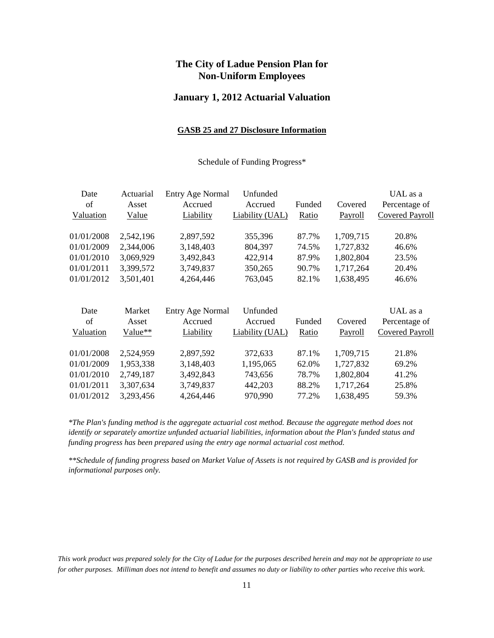#### **January 1, 2012 Actuarial Valuation**

#### **GASB 25 and 27 Disclosure Information**

#### Schedule of Funding Progress\*

| Date       | Actuarial | <b>Entry Age Normal</b> | Unfunded        |        |           | UAL as a               |
|------------|-----------|-------------------------|-----------------|--------|-----------|------------------------|
| of         | Asset     | Accrued                 | Accrued         | Funded | Covered   | Percentage of          |
| Valuation  | Value     | Liability               | Liability (UAL) | Ratio  | Payroll   | <b>Covered Payroll</b> |
|            |           |                         |                 |        |           |                        |
| 01/01/2008 | 2,542,196 | 2,897,592               | 355,396         | 87.7%  | 1,709,715 | 20.8%                  |
| 01/01/2009 | 2,344,006 | 3,148,403               | 804,397         | 74.5%  | 1,727,832 | 46.6%                  |
| 01/01/2010 | 3,069,929 | 3,492,843               | 422,914         | 87.9%  | 1,802,804 | 23.5%                  |
| 01/01/2011 | 3,399,572 | 3,749,837               | 350,265         | 90.7%  | 1,717,264 | 20.4%                  |
| 01/01/2012 | 3,501,401 | 4,264,446               | 763,045         | 82.1%  | 1,638,495 | 46.6%                  |
|            |           |                         |                 |        |           |                        |
| Date       | Market    | <b>Entry Age Normal</b> | Unfunded        |        |           | UAL as a               |
| of         | Asset     | Accrued                 | Accrued         | Funded | Covered   | Percentage of          |
| Valuation  | Value**   | Liability               | Liability (UAL) | Ratio  | Payroll   | <b>Covered Payroll</b> |
| 01/01/2008 | 2,524,959 | 2,897,592               | 372,633         | 87.1%  | 1,709,715 | 21.8%                  |
| 01/01/2009 | 1,953,338 | 3,148,403               | 1,195,065       | 62.0%  | 1,727,832 | 69.2%                  |
| 01/01/2010 | 2,749,187 | 3,492,843               | 743,656         | 78.7%  | 1,802,804 | 41.2%                  |
| 01/01/2011 | 3,307,634 | 3,749,837               | 442,203         | 88.2%  | 1,717,264 | 25.8%                  |
| 01/01/2012 | 3,293,456 | 4,264,446               | 970,990         | 77.2%  | 1,638,495 | 59.3%                  |
|            |           |                         |                 |        |           |                        |

*\*The Plan's funding method is the aggregate actuarial cost method. Because the aggregate method does not identify or separately amortize unfunded actuarial liabilities, information about the Plan's funded status and funding progress has been prepared using the entry age normal actuarial cost method.*

*\*\*Schedule of funding progress based on Market Value of Assets is not required by GASB and is provided for informational purposes only.*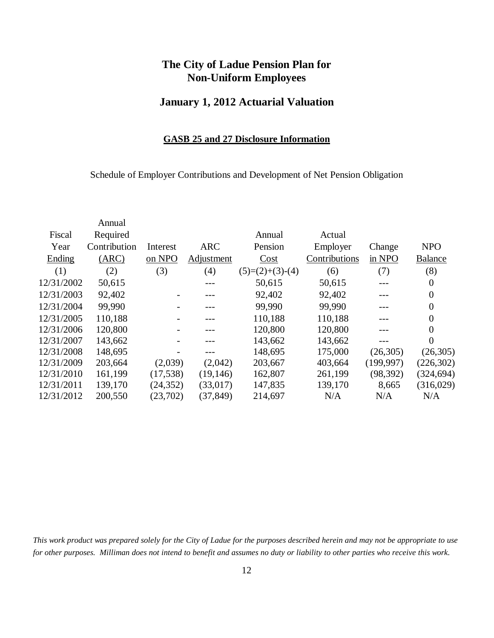### **January 1, 2012 Actuarial Valuation**

#### **GASB 25 and 27 Disclosure Information**

Schedule of Employer Contributions and Development of Net Pension Obligation

| Annual       |           |            |                   |               |            |                  |
|--------------|-----------|------------|-------------------|---------------|------------|------------------|
| Required     |           |            | Annual            | Actual        |            |                  |
| Contribution | Interest  | <b>ARC</b> | Pension           | Employer      | Change     | <b>NPO</b>       |
| (ARC)        | on NPO    | Adjustment | Cost              | Contributions | in NPO     | <b>Balance</b>   |
| (2)          | (3)       | (4)        | $(5)=(2)+(3)-(4)$ | (6)           | (7)        | (8)              |
| 50,615       |           | ---        | 50,615            | 50,615        | $---$      | $\theta$         |
| 92,402       |           |            | 92,402            | 92,402        |            | $\boldsymbol{0}$ |
| 99,990       |           |            | 99,990            | 99,990        |            | $\overline{0}$   |
| 110,188      |           |            | 110,188           | 110,188       |            | $\overline{0}$   |
| 120,800      |           |            | 120,800           | 120,800       |            | $\boldsymbol{0}$ |
| 143,662      |           |            | 143,662           | 143,662       | ---        | $\theta$         |
| 148,695      |           |            | 148,695           | 175,000       | (26,305)   | (26, 305)        |
| 203,664      | (2,039)   | (2,042)    | 203,667           | 403,664       | (199, 997) | (226, 302)       |
| 161,199      | (17,538)  | (19, 146)  | 162,807           | 261,199       | (98, 392)  | (324, 694)       |
| 139,170      | (24, 352) | (33,017)   | 147,835           | 139,170       | 8,665      | (316,029)        |
| 200,550      | (23,702)  | (37, 849)  | 214,697           | N/A           | N/A        | N/A              |
|              |           |            |                   |               |            |                  |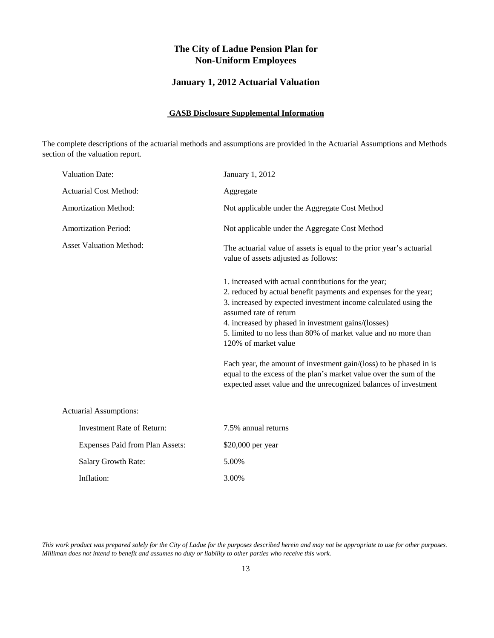### **January 1, 2012 Actuarial Valuation**

#### **GASB Disclosure Supplemental Information**

The complete descriptions of the actuarial methods and assumptions are provided in the Actuarial Assumptions and Methods section of the valuation report.

| <b>Valuation Date:</b>            | January 1, 2012                                                                                                                                                                                                                                                                                                                                                         |
|-----------------------------------|-------------------------------------------------------------------------------------------------------------------------------------------------------------------------------------------------------------------------------------------------------------------------------------------------------------------------------------------------------------------------|
| <b>Actuarial Cost Method:</b>     | Aggregate                                                                                                                                                                                                                                                                                                                                                               |
| Amortization Method:              | Not applicable under the Aggregate Cost Method                                                                                                                                                                                                                                                                                                                          |
| <b>Amortization Period:</b>       | Not applicable under the Aggregate Cost Method                                                                                                                                                                                                                                                                                                                          |
| <b>Asset Valuation Method:</b>    | The actuarial value of assets is equal to the prior year's actuarial<br>value of assets adjusted as follows:                                                                                                                                                                                                                                                            |
|                                   | 1. increased with actual contributions for the year;<br>2. reduced by actual benefit payments and expenses for the year;<br>3. increased by expected investment income calculated using the<br>assumed rate of return<br>4. increased by phased in investment gains/(losses)<br>5. limited to no less than 80% of market value and no more than<br>120% of market value |
|                                   | Each year, the amount of investment gain/(loss) to be phased in is<br>equal to the excess of the plan's market value over the sum of the<br>expected asset value and the unrecognized balances of investment                                                                                                                                                            |
| <b>Actuarial Assumptions:</b>     |                                                                                                                                                                                                                                                                                                                                                                         |
| <b>Investment Rate of Return:</b> | 7.5% annual returns                                                                                                                                                                                                                                                                                                                                                     |
| Expenses Paid from Plan Assets:   | \$20,000 per year                                                                                                                                                                                                                                                                                                                                                       |
| Salary Growth Rate:               | 5.00%                                                                                                                                                                                                                                                                                                                                                                   |
| Inflation:                        | 3.00%                                                                                                                                                                                                                                                                                                                                                                   |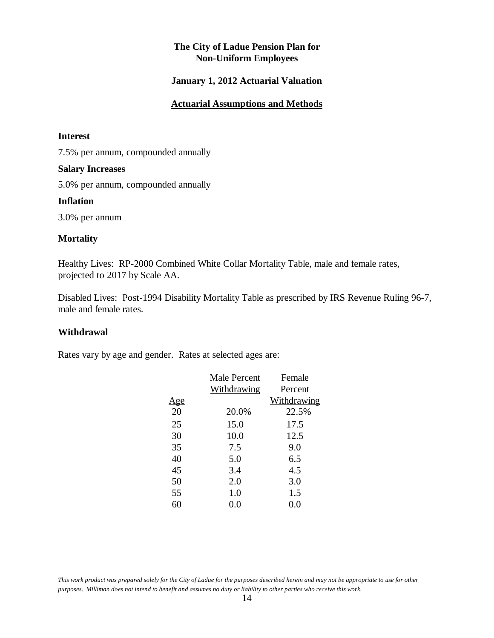#### **January 1, 2012 Actuarial Valuation**

#### **Actuarial Assumptions and Methods**

#### **Interest**

7.5% per annum, compounded annually

#### **Salary Increases**

5.0% per annum, compounded annually

#### **Inflation**

3.0% per annum

#### **Mortality**

Healthy Lives: RP-2000 Combined White Collar Mortality Table, male and female rates, projected to 2017 by Scale AA.

Disabled Lives: Post-1994 Disability Mortality Table as prescribed by IRS Revenue Ruling 96-7, male and female rates.

#### **Withdrawal**

Rates vary by age and gender. Rates at selected ages are:

|            | Male Percent | Female      |
|------------|--------------|-------------|
|            | Withdrawing  | Percent     |
| <u>Age</u> |              | Withdrawing |
| 20         | 20.0%        | 22.5%       |
| 25         | 15.0         | 17.5        |
| 30         | 10.0         | 12.5        |
| 35         | 7.5          | 9.0         |
| 40         | 5.0          | 6.5         |
| 45         | 3.4          | 4.5         |
| 50         | 2.0          | 3.0         |
| 55         | 1.0          | 1.5         |
|            | (0.0)        | 0.0         |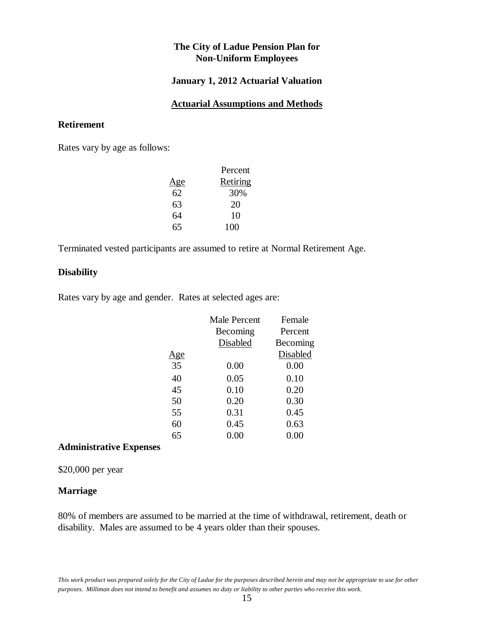#### **January 1, 2012 Actuarial Valuation**

#### **Actuarial Assumptions and Methods**

#### **Retirement**

Rates vary by age as follows:

|     | Percent  |
|-----|----------|
| Age | Retiring |
| 62  | 30%      |
| 63  | 20       |
| 64  | 10       |
| 65  | 100      |

Terminated vested participants are assumed to retire at Normal Retirement Age.

#### **Disability**

Rates vary by age and gender. Rates at selected ages are:

|            | Male Percent | Female          |
|------------|--------------|-----------------|
|            | Becoming     | Percent         |
|            | Disabled     | Becoming        |
| <u>Age</u> |              | <b>Disabled</b> |
| 35         | 0.00         | 0.00            |
| 40         | 0.05         | 0.10            |
| 45         | 0.10         | 0.20            |
| 50         | 0.20         | 0.30            |
| 55         | 0.31         | 0.45            |
| 60         | 0.45         | 0.63            |
| 65         | $0.00\,$     | $0.00\,$        |

#### **Administrative Expenses**

\$20,000 per year

#### **Marriage**

80% of members are assumed to be married at the time of withdrawal, retirement, death or disability. Males are assumed to be 4 years older than their spouses.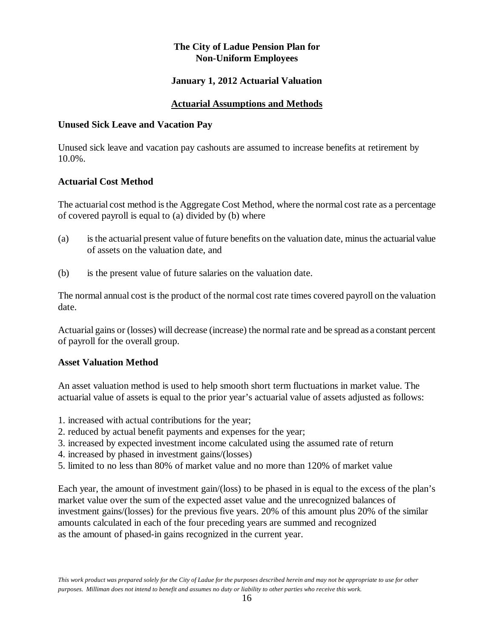### **January 1, 2012 Actuarial Valuation**

### **Actuarial Assumptions and Methods**

#### **Unused Sick Leave and Vacation Pay**

Unused sick leave and vacation pay cashouts are assumed to increase benefits at retirement by 10.0%.

### **Actuarial Cost Method**

The actuarial cost method is the Aggregate Cost Method, where the normal cost rate as a percentage of covered payroll is equal to (a) divided by (b) where

- (a) is the actuarial present value of future benefits on the valuation date, minus the actuarial value of assets on the valuation date, and
- (b) is the present value of future salaries on the valuation date.

The normal annual cost is the product of the normal cost rate times covered payroll on the valuation date.

Actuarial gains or (losses) will decrease (increase) the normal rate and be spread as a constant percent of payroll for the overall group.

#### **Asset Valuation Method**

An asset valuation method is used to help smooth short term fluctuations in market value. The actuarial value of assets is equal to the prior year's actuarial value of assets adjusted as follows:

- 1. increased with actual contributions for the year;
- 2. reduced by actual benefit payments and expenses for the year;
- 3. increased by expected investment income calculated using the assumed rate of return
- 4. increased by phased in investment gains/(losses)
- 5. limited to no less than 80% of market value and no more than 120% of market value

Each year, the amount of investment gain/(loss) to be phased in is equal to the excess of the plan's market value over the sum of the expected asset value and the unrecognized balances of investment gains/(losses) for the previous five years. 20% of this amount plus 20% of the similar amounts calculated in each of the four preceding years are summed and recognized as the amount of phased-in gains recognized in the current year.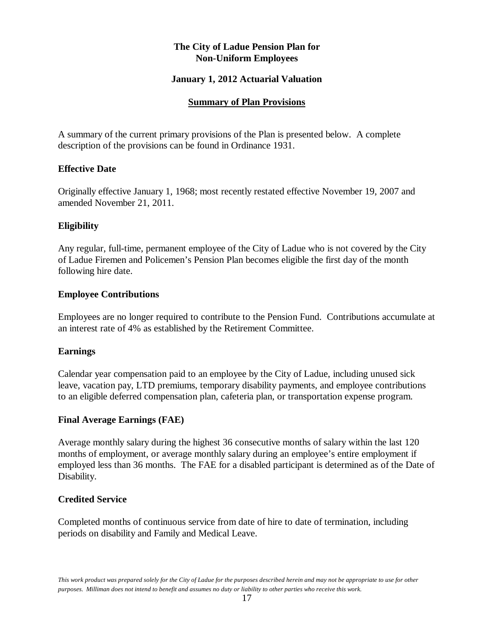#### **January 1, 2012 Actuarial Valuation**

#### **Summary of Plan Provisions**

A summary of the current primary provisions of the Plan is presented below. A complete description of the provisions can be found in Ordinance 1931.

#### **Effective Date**

Originally effective January 1, 1968; most recently restated effective November 19, 2007 and amended November 21, 2011.

### **Eligibility**

Any regular, full-time, permanent employee of the City of Ladue who is not covered by the City of Ladue Firemen and Policemen's Pension Plan becomes eligible the first day of the month following hire date.

#### **Employee Contributions**

Employees are no longer required to contribute to the Pension Fund. Contributions accumulate at an interest rate of 4% as established by the Retirement Committee.

#### **Earnings**

Calendar year compensation paid to an employee by the City of Ladue, including unused sick leave, vacation pay, LTD premiums, temporary disability payments, and employee contributions to an eligible deferred compensation plan, cafeteria plan, or transportation expense program.

#### **Final Average Earnings (FAE)**

Average monthly salary during the highest 36 consecutive months of salary within the last 120 months of employment, or average monthly salary during an employee's entire employment if employed less than 36 months. The FAE for a disabled participant is determined as of the Date of Disability.

#### **Credited Service**

Completed months of continuous service from date of hire to date of termination, including periods on disability and Family and Medical Leave.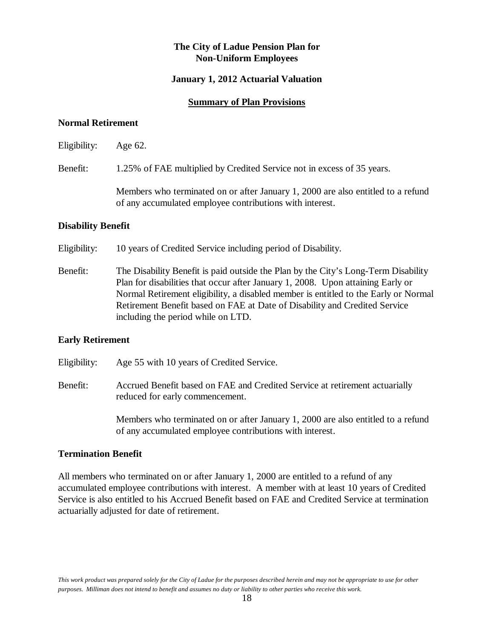#### **January 1, 2012 Actuarial Valuation**

#### **Summary of Plan Provisions**

#### **Normal Retirement**

Eligibility: Age 62.

Benefit: 1.25% of FAE multiplied by Credited Service not in excess of 35 years.

Members who terminated on or after January 1, 2000 are also entitled to a refund of any accumulated employee contributions with interest.

#### **Disability Benefit**

Eligibility: 10 years of Credited Service including period of Disability.

Benefit: The Disability Benefit is paid outside the Plan by the City's Long-Term Disability Plan for disabilities that occur after January 1, 2008. Upon attaining Early or Normal Retirement eligibility, a disabled member is entitled to the Early or Normal Retirement Benefit based on FAE at Date of Disability and Credited Service including the period while on LTD.

#### **Early Retirement**

Eligibility: Age 55 with 10 years of Credited Service.

Benefit: Accrued Benefit based on FAE and Credited Service at retirement actuarially reduced for early commencement.

> Members who terminated on or after January 1, 2000 are also entitled to a refund of any accumulated employee contributions with interest.

#### **Termination Benefit**

All members who terminated on or after January 1, 2000 are entitled to a refund of any accumulated employee contributions with interest. A member with at least 10 years of Credited Service is also entitled to his Accrued Benefit based on FAE and Credited Service at termination actuarially adjusted for date of retirement.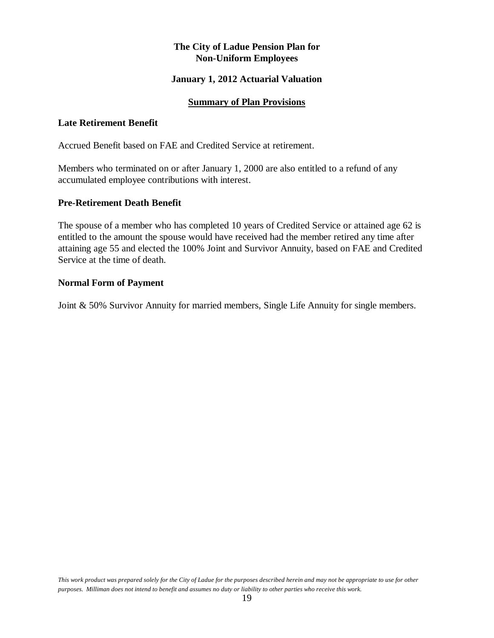#### **January 1, 2012 Actuarial Valuation**

#### **Summary of Plan Provisions**

#### **Late Retirement Benefit**

Accrued Benefit based on FAE and Credited Service at retirement.

Members who terminated on or after January 1, 2000 are also entitled to a refund of any accumulated employee contributions with interest.

#### **Pre-Retirement Death Benefit**

The spouse of a member who has completed 10 years of Credited Service or attained age 62 is entitled to the amount the spouse would have received had the member retired any time after attaining age 55 and elected the 100% Joint and Survivor Annuity, based on FAE and Credited Service at the time of death.

#### **Normal Form of Payment**

Joint & 50% Survivor Annuity for married members, Single Life Annuity for single members.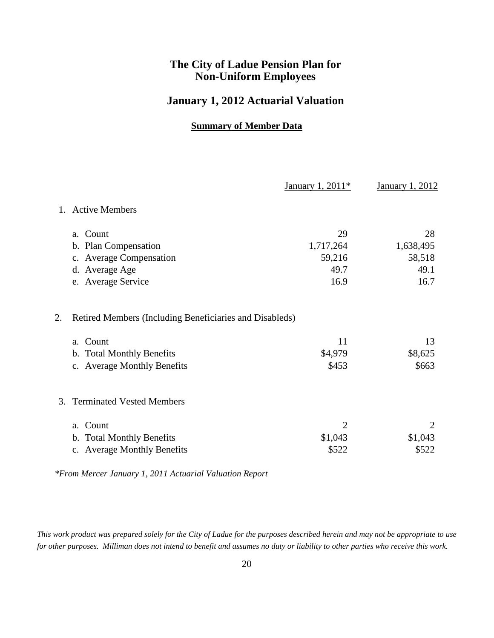### **January 1, 2012 Actuarial Valuation**

### **Summary of Member Data**

|         |                                                         | January 1, 2011 <sup>*</sup> | <b>January 1, 2012</b> |
|---------|---------------------------------------------------------|------------------------------|------------------------|
| $1_{-}$ | <b>Active Members</b>                                   |                              |                        |
|         | a. Count                                                | 29                           | 28                     |
|         | b. Plan Compensation                                    | 1,717,264                    | 1,638,495              |
|         | c. Average Compensation                                 | 59,216                       | 58,518                 |
|         | d. Average Age                                          | 49.7                         | 49.1                   |
|         | e. Average Service                                      | 16.9                         | 16.7                   |
| 2.      | Retired Members (Including Beneficiaries and Disableds) |                              |                        |
|         | a. Count                                                | 11                           | 13                     |
|         | b. Total Monthly Benefits                               | \$4,979                      | \$8,625                |
|         | c. Average Monthly Benefits                             | \$453                        | \$663                  |
| 3.      | <b>Terminated Vested Members</b>                        |                              |                        |
|         | a. Count                                                | $\overline{2}$               |                        |
|         | b. Total Monthly Benefits                               | \$1,043                      | \$1,043                |
|         | <b>Average Monthly Benefits</b><br>$C_{\bullet}$        | \$522                        | \$522                  |

*\*From Mercer January 1, 2011 Actuarial Valuation Report*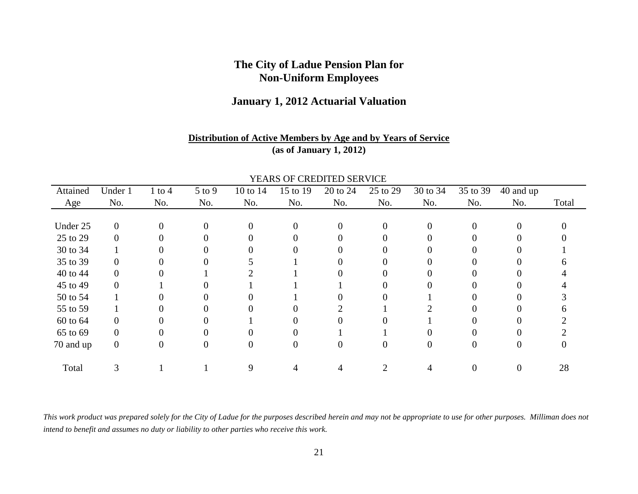### **January 1, 2012 Actuarial Valuation**

### **Distribution of Active Members by Age and by Years of Service(as of January 1, 2012)**

|           |                |            |            |                |          | TEARS OF CREDITED SERVICE |                |          |          |           |       |
|-----------|----------------|------------|------------|----------------|----------|---------------------------|----------------|----------|----------|-----------|-------|
| Attained  | Under 1        | $1$ to $4$ | $5$ to $9$ | 10 to 14       | 15 to 19 | 20 to 24                  | 25 to 29       | 30 to 34 | 35 to 39 | 40 and up |       |
| Age       | No.            | No.        | No.        | No.            | No.      | No.                       | No.            | No.      | No.      | No.       | Total |
|           |                |            |            |                |          |                           |                |          |          |           |       |
| Under 25  | $\mathbf{0}$   | $\Omega$   | $\theta$   | $\overline{0}$ | 0        | 0                         |                | $\Omega$ | $\Omega$ | 0         |       |
| 25 to 29  | $\Omega$       |            |            | 0              |          | 0                         |                |          |          | 0         |       |
| 30 to 34  |                |            |            |                |          |                           |                |          |          |           |       |
| 35 to 39  |                |            |            |                |          |                           |                |          |          |           |       |
| 40 to 44  | 0              |            |            |                |          |                           |                |          |          |           |       |
| 45 to 49  | 0              |            |            |                |          |                           |                |          |          |           |       |
| 50 to 54  |                |            |            |                |          |                           |                |          |          |           |       |
| 55 to 59  |                |            |            |                |          |                           |                |          |          |           |       |
| 60 to 64  | 0              |            |            |                |          |                           |                |          |          |           |       |
| 65 to 69  | 0              |            |            |                |          |                           |                |          |          |           |       |
| 70 and up | $\overline{0}$ | $\theta$   | 0          | $\overline{0}$ |          | $\theta$                  | 0              | 0        | 0        | 0         |       |
|           |                |            |            |                |          |                           |                |          |          |           |       |
| Total     | ⌒              |            |            | 9              |          |                           | $\overline{c}$ |          |          | 0         | 28    |

YEARS OF CREDITED SERVICE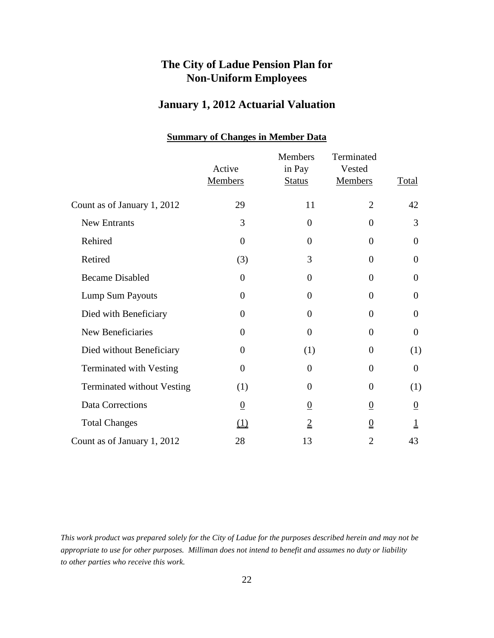## **January 1, 2012 Actuarial Valuation**

|                                   | Active<br><b>Members</b> | <b>Members</b><br>in Pay<br><b>Status</b> | Terminated<br>Vested<br><b>Members</b> | <b>Total</b>            |
|-----------------------------------|--------------------------|-------------------------------------------|----------------------------------------|-------------------------|
| Count as of January 1, 2012       | 29                       | 11                                        | $\overline{2}$                         | 42                      |
| New Entrants                      | 3                        | $\mathbf{0}$                              | $\theta$                               | 3                       |
| Rehired                           | $\overline{0}$           | $\overline{0}$                            | $\overline{0}$                         | $\overline{0}$          |
| Retired                           | (3)                      | 3                                         | $\overline{0}$                         | $\overline{0}$          |
| <b>Became Disabled</b>            | $\overline{0}$           | $\overline{0}$                            | $\theta$                               | $\boldsymbol{0}$        |
| Lump Sum Payouts                  | $\overline{0}$           | $\overline{0}$                            | $\overline{0}$                         | $\boldsymbol{0}$        |
| Died with Beneficiary             | $\overline{0}$           | $\overline{0}$                            | $\theta$                               | $\overline{0}$          |
| New Beneficiaries                 | $\overline{0}$           | $\overline{0}$                            | $\overline{0}$                         | $\overline{0}$          |
| Died without Beneficiary          | $\overline{0}$           | (1)                                       | $\theta$                               | (1)                     |
| <b>Terminated with Vesting</b>    | $\overline{0}$           | $\overline{0}$                            | $\theta$                               | $\boldsymbol{0}$        |
| <b>Terminated without Vesting</b> | (1)                      | $\overline{0}$                            | $\overline{0}$                         | (1)                     |
| Data Corrections                  | $\overline{0}$           | $\overline{0}$                            | $\overline{0}$                         | $\overline{0}$          |
| <b>Total Changes</b>              | $\Omega$                 | $\overline{2}$                            | 0                                      | $\overline{\mathsf{I}}$ |
| Count as of January 1, 2012       | 28                       | 13                                        | $\overline{2}$                         | 43                      |

### **Summary of Changes in Member Data**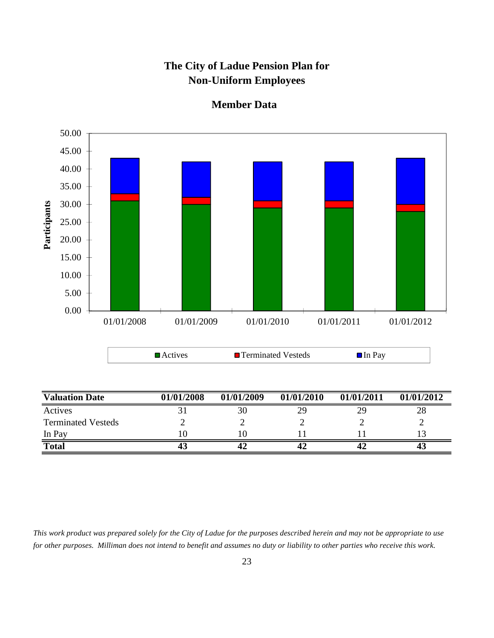

#### **Member Data**

**Total 43 42 42 42 43**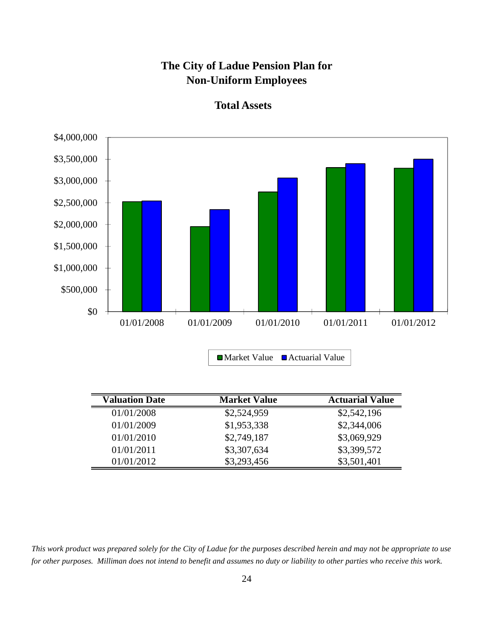

**Total Assets**

| <b>Valuation Date</b> | <b>Market Value</b> | <b>Actuarial Value</b> |
|-----------------------|---------------------|------------------------|
| 01/01/2008            | \$2,524,959         | \$2,542,196            |
| 01/01/2009            | \$1,953,338         | \$2,344,006            |
| 01/01/2010            | \$2,749,187         | \$3,069,929            |
| 01/01/2011            | \$3,307,634         | \$3,399,572            |
| 01/01/2012            | \$3,293,456         | \$3,501,401            |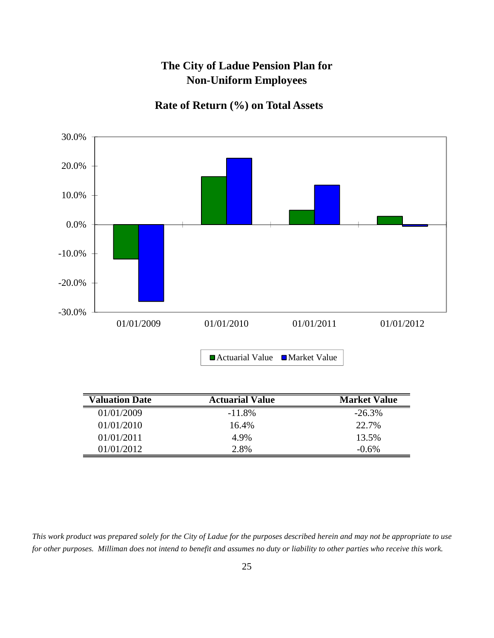## **Rate of Return (%) on Total Assets**



| <b>Valuation Date</b> | <b>Actuarial Value</b> | <b>Market Value</b> |
|-----------------------|------------------------|---------------------|
| 01/01/2009            | $-11.8\%$              | $-26.3%$            |
| 01/01/2010            | 16.4%                  | 22.7%               |
| 01/01/2011            | 4.9%                   | 13.5%               |
| 01/01/2012            | 2.8%                   | $-0.6%$             |

*This work product was prepared solely for the City of Ladue for the purposes described herein and may not be appropriate to use for other purposes. Milliman does not intend to benefit and assumes no duty or liability to other parties who receive this work.*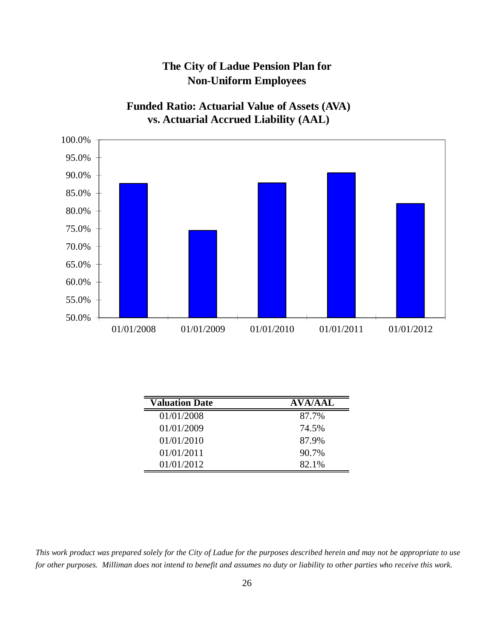**Funded Ratio: Actuarial Value of Assets (AVA) vs. Actuarial Accrued Liability (AAL)**



| <b>Valuation Date</b> | <b>AVA/AAL</b> |
|-----------------------|----------------|
| 01/01/2008            | 87.7%          |
| 01/01/2009            | 74.5%          |
| 01/01/2010            | 87.9%          |
| 01/01/2011            | 90.7%          |
| 01/01/2012            | 82.1%          |

*This work product was prepared solely for the City of Ladue for the purposes described herein and may not be appropriate to use for other purposes. Milliman does not intend to benefit and assumes no duty or liability to other parties who receive this work.*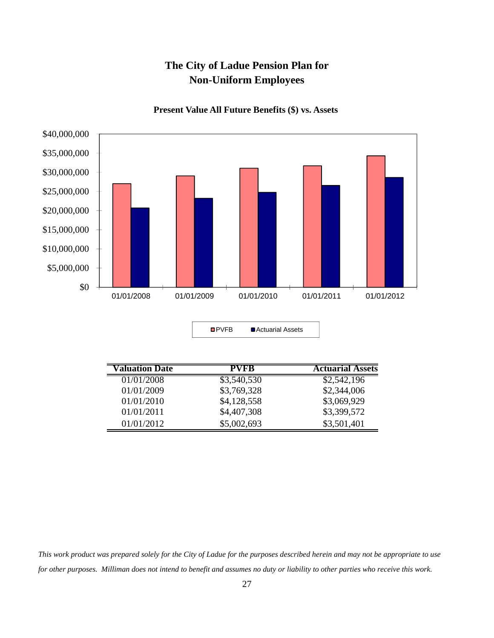

**Present Value All Future Benefits (\$) vs. Assets**

| <b>OPVFB</b> | ■ Actuarial Assets |
|--------------|--------------------|
|              |                    |

| <b>Valuation Date</b> | PVFB        | <b>Actuarial Assets</b> |
|-----------------------|-------------|-------------------------|
| 01/01/2008            | \$3,540,530 | \$2,542,196             |
| 01/01/2009            | \$3,769,328 | \$2,344,006             |
| 01/01/2010            | \$4,128,558 | \$3,069,929             |
| 01/01/2011            | \$4,407,308 | \$3,399,572             |
| 01/01/2012            | \$5,002,693 | \$3,501,401             |